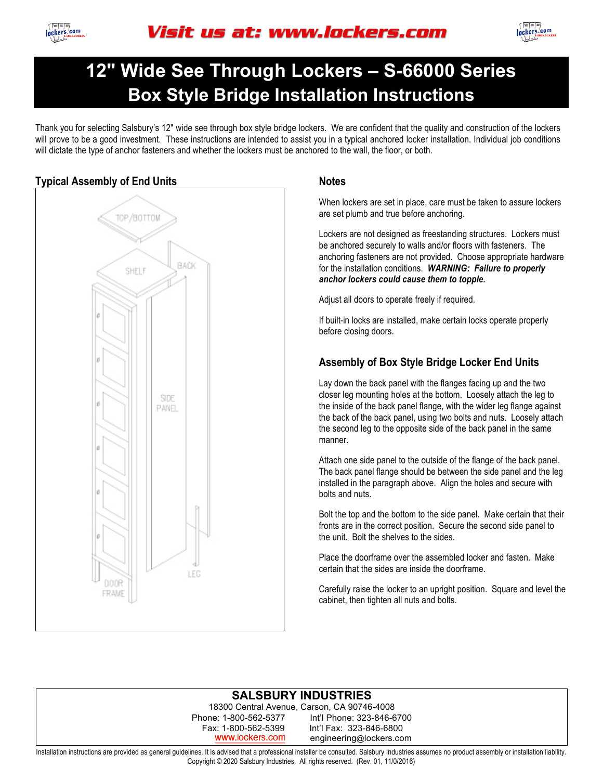



# **Box Style Bridge Installation Instructions 12" Wide See Through Lockers – S-66000 Series**

Thank you for selecting Salsbury's 12" wide see through box style bridge lockers. We are confident that the quality and construction of the lockers will prove to be a good investment. These instructions are intended to assist you in a typical anchored locker installation. Individual job conditions will dictate the type of anchor fasteners and whether the lockers must be anchored to the wall, the floor, or both.



When lockers are set in place, care must be taken to assure lockers are set plumb and true before anchoring.

Lockers are not designed as freestanding structures. Lockers must be anchored securely to walls and/or floors with fasteners. The anchoring fasteners are not provided. Choose appropriate hardware for the installation conditions. *WARNING: Failure to properly anchor lockers could cause them to topple.*

Adjust all doors to operate freely if required.

If built-in locks are installed, make certain locks operate properly before closing doors.

### **Assembly of Box Style Bridge Locker End Units**

Lay down the back panel with the flanges facing up and the two closer leg mounting holes at the bottom. Loosely attach the leg to the inside of the back panel flange, with the wider leg flange against the back of the back panel, using two bolts and nuts. Loosely attach the second leg to the opposite side of the back panel in the same manner.

Attach one side panel to the outside of the flange of the back panel. The back panel flange should be between the side panel and the leg installed in the paragraph above. Align the holes and secure with bolts and nuts.

Bolt the top and the bottom to the side panel. Make certain that their fronts are in the correct position. Secure the second side panel to the unit. Bolt the shelves to the sides.

Place the doorframe over the assembled locker and fasten. Make certain that the sides are inside the doorframe.

Carefully raise the locker to an upright position. Square and level the cabinet, then tighten all nuts and bolts.

#### **SALSBURY INDUSTRIES**

18300 Central Avenue, Carson, CA 90746-4008 Phone: 1-800-562-5377 Int'l Phone: 323-846-6700 Fax: 1-800-562-5399 Int'l Fax: 323-846-6800 www.lockers.com engineering@lockers.com

Installation instructions are provided as general guidelines. It is advised that a professional installer be consulted. Salsbury Industries assumes no product assembly or installation liability. Copyright © 2020 Salsbury Industries. All rights reserved. (Rev. 01, 11/0/2016)